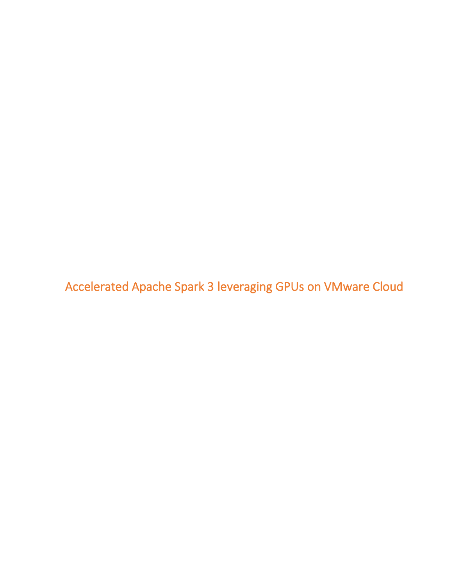Accelerated Apache Spark 3 leveraging GPUs on VMware Cloud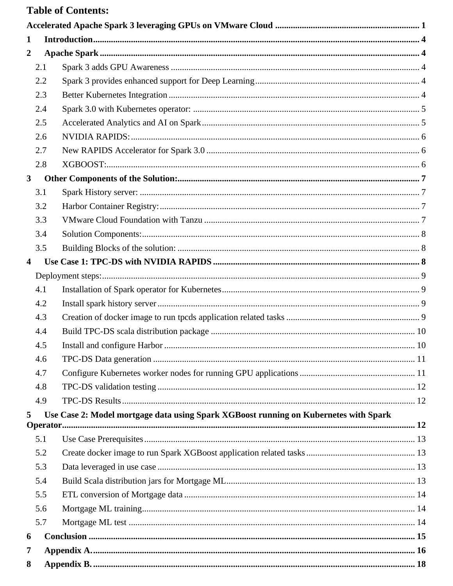## **Table of Contents:**

| $\mathbf{1}$            |                                                                                      |  |
|-------------------------|--------------------------------------------------------------------------------------|--|
| $\overline{2}$          |                                                                                      |  |
| 2.1                     |                                                                                      |  |
| 2.2                     |                                                                                      |  |
| 2.3                     |                                                                                      |  |
| 2.4                     |                                                                                      |  |
| 2.5                     |                                                                                      |  |
| 2.6                     |                                                                                      |  |
| 2.7                     |                                                                                      |  |
| 2.8                     |                                                                                      |  |
| $\mathbf{3}$            |                                                                                      |  |
| 3.1                     |                                                                                      |  |
| 3.2                     |                                                                                      |  |
| 3.3                     |                                                                                      |  |
| 3.4                     |                                                                                      |  |
| 3.5                     |                                                                                      |  |
| $\overline{\mathbf{4}}$ |                                                                                      |  |
|                         |                                                                                      |  |
| 4.1                     |                                                                                      |  |
| 4.2                     |                                                                                      |  |
| 4.3                     |                                                                                      |  |
| 4.4                     |                                                                                      |  |
| 4.5                     |                                                                                      |  |
| 4.6                     |                                                                                      |  |
| 4.7                     |                                                                                      |  |
| 4.8                     |                                                                                      |  |
| 4.9                     |                                                                                      |  |
| 5                       | Use Case 2: Model mortgage data using Spark XGBoost running on Kubernetes with Spark |  |
|                         |                                                                                      |  |
| 5.1                     |                                                                                      |  |
| 5.2                     |                                                                                      |  |
| 5.3                     |                                                                                      |  |
| 5.4                     |                                                                                      |  |
| 5.5                     |                                                                                      |  |
| 5.6                     |                                                                                      |  |
| 5.7                     |                                                                                      |  |
| 6                       |                                                                                      |  |
| 7                       |                                                                                      |  |
| 8                       |                                                                                      |  |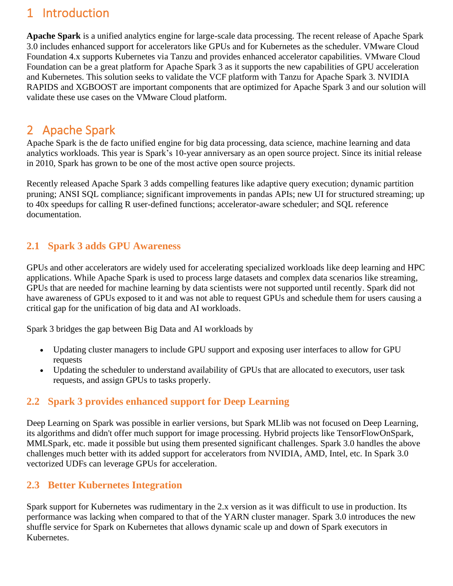## 1 Introduction

**Apache Spark** is a unified analytics engine for large-scale data processing. The recent release of Apache Spark 3.0 includes enhanced support for accelerators like GPUs and for Kubernetes as the scheduler. VMware Cloud Foundation 4.x supports Kubernetes via Tanzu and provides enhanced accelerator capabilities. VMware Cloud Foundation can be a great platform for Apache Spark 3 as it supports the new capabilities of GPU acceleration and Kubernetes. This solution seeks to validate the VCF platform with Tanzu for Apache Spark 3. NVIDIA RAPIDS and XGBOOST are important components that are optimized for Apache Spark 3 and our solution will validate these use cases on the VMware Cloud platform.

## 2 Apache Spark

Apache Spark is the de facto unified engine for big data processing, data science, machine learning and data analytics workloads. This year is Spark's 10-year anniversary as an open source project. Since its initial release in 2010, Spark has grown to be one of the most active open source projects.

Recently released Apache Spark 3 adds compelling features like adaptive query execution; dynamic partition pruning; ANSI SQL compliance; significant improvements in pandas APIs; new UI for structured streaming; up to 40x speedups for calling R user-defined functions; accelerator-aware scheduler; and SQL reference documentation.

## **2.1 Spark 3 adds GPU Awareness**

GPUs and other accelerators are widely used for accelerating specialized workloads like deep learning and HPC applications. While Apache Spark is used to process large datasets and complex data scenarios like streaming, GPUs that are needed for machine learning by data scientists were not supported until recently. Spark did not have awareness of GPUs exposed to it and was not able to request GPUs and schedule them for users causing a critical gap for the unification of big data and AI workloads.

Spark 3 bridges the gap between Big Data and AI workloads by

- Updating cluster managers to include GPU support and exposing user interfaces to allow for GPU requests
- Updating the scheduler to understand availability of GPUs that are allocated to executors, user task requests, and assign GPUs to tasks properly.

## **2.2 Spark 3 provides enhanced support for Deep Learning**

Deep Learning on Spark was possible in earlier versions, but Spark MLlib was not focused on Deep Learning, its algorithms and didn't offer much support for image processing. Hybrid projects like TensorFlowOnSpark, MMLSpark, etc. made it possible but using them presented significant challenges. Spark 3.0 handles the above challenges much better with its added support for accelerators from NVIDIA, AMD, Intel, etc. In Spark 3.0 vectorized UDFs can leverage GPUs for acceleration.

## **2.3 Better Kubernetes Integration**

Spark support for Kubernetes was rudimentary in the 2.x version as it was difficult to use in production. Its performance was lacking when compared to that of the YARN cluster manager. Spark 3.0 introduces the new shuffle service for Spark on Kubernetes that allows dynamic scale up and down of Spark executors in Kubernetes.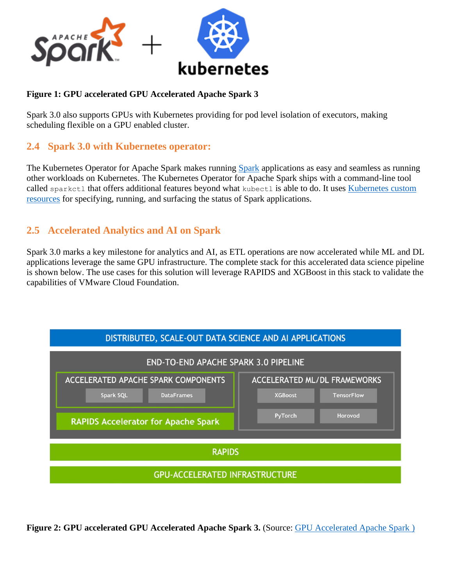

#### **Figure 1: GPU accelerated GPU Accelerated Apache Spark 3**

Spark 3.0 also supports GPUs with Kubernetes providing for pod level isolation of executors, making scheduling flexible on a GPU enabled cluster.

### **2.4 Spark 3.0 with Kubernetes operator:**

The Kubernetes Operator for Apache Spark makes running [Spark](https://github.com/apache/spark) applications as easy and seamless as running other workloads on Kubernetes. The Kubernetes Operator for Apache Spark ships with a command-line tool called sparkctl that offers additional features beyond what kubectl is able to do. It uses Kubernetes custom [resources](https://kubernetes.io/docs/concepts/extend-kubernetes/api-extension/custom-resources/) for specifying, running, and surfacing the status of Spark applications.

### **2.5 Accelerated Analytics and AI on Spark**

Spark 3.0 marks a key milestone for analytics and AI, as ETL operations are now accelerated while ML and DL applications leverage the same GPU infrastructure. The complete stack for this accelerated data science pipeline is shown below. The use cases for this solution will leverage RAPIDS and XGBoost in this stack to validate the capabilities of VMware Cloud Foundation.



**Figure 2: GPU accelerated GPU Accelerated Apache Spark 3.** (Source: [GPU Accelerated Apache Spark](https://www.nvidia.com/en-us/deep-learning-ai/solutions/data-science/apache-spark-3/) )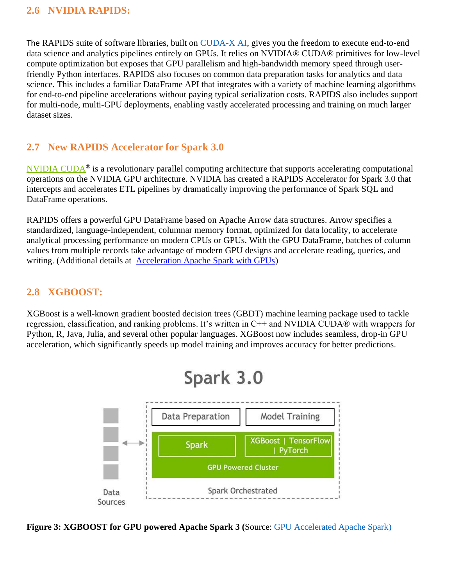### **2.6 NVIDIA RAPIDS:**

The RAPIDS suite of software libraries, built on [CUDA-X AI,](https://developer.nvidia.com/machine-learning) gives you the freedom to execute end-to-end data science and analytics pipelines entirely on GPUs. It relies on NVIDIA® CUDA® primitives for low-level compute optimization but exposes that GPU parallelism and high-bandwidth memory speed through userfriendly Python interfaces. RAPIDS also focuses on common data preparation tasks for analytics and data science. This includes a familiar DataFrame API that integrates with a variety of machine learning algorithms for end-to-end pipeline accelerations without paying typical serialization costs. RAPIDS also includes support for multi-node, multi-GPU deployments, enabling vastly accelerated processing and training on much larger dataset sizes.

## **2.7 New RAPIDS Accelerator for Spark 3.0**

[NVIDIA CUDA](https://developer.nvidia.com/cuda-zone)® is a revolutionary parallel computing architecture that supports accelerating computational operations on the NVIDIA GPU architecture. NVIDIA has created a RAPIDS Accelerator for Spark 3.0 that intercepts and accelerates ETL pipelines by dramatically improving the performance of Spark SQL and DataFrame operations.

RAPIDS offers a powerful GPU DataFrame based on Apache Arrow data structures. Arrow specifies a standardized, language-independent, columnar memory format, optimized for data locality, to accelerate analytical processing performance on modern CPUs or GPUs. With the GPU DataFrame, batches of column values from multiple records take advantage of modern GPU designs and accelerate reading, queries, and writing. (Additional details at [Acceleration Apache Spark with GPUs\)](https://developer.nvidia.com/blog/accelerating-apache-spark-3-0-with-gpus-and-rapids/)

### **2.8 XGBOOST:**

XGBoost is a well-known gradient boosted decision trees (GBDT) machine learning package used to tackle regression, classification, and ranking problems. It's written in C++ and NVIDIA CUDA® with wrappers for Python, R, Java, Julia, and several other popular languages. XGBoost now includes seamless, drop-in GPU acceleration, which significantly speeds up model training and improves accuracy for better predictions.



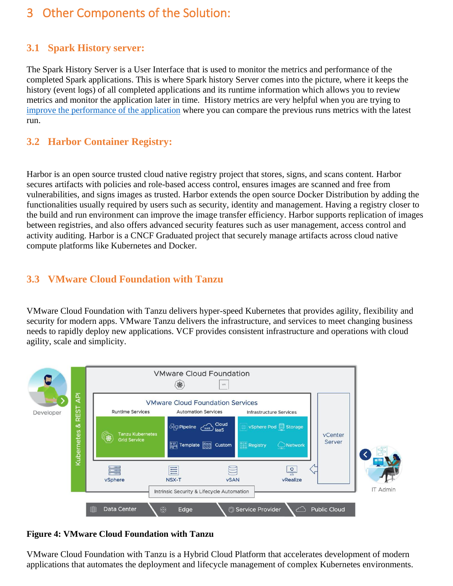## 3 Other Components of the Solution:

### **3.1 Spark History server:**

The Spark History Server is a User Interface that is used to monitor the metrics and performance of the completed Spark applications. This is where Spark history Server comes into the picture, where it keeps the history (event logs) of all completed applications and its runtime information which allows you to review metrics and monitor the application later in time. History metrics are very helpful when you are trying to [improve the performance of the application](https://sparkbyexamples.com/spark/spark-sql-performance-tuning-configurations/) where you can compare the previous runs metrics with the latest run.

### **3.2 Harbor Container Registry:**

Harbor is an open source trusted cloud native registry project that stores, signs, and scans content. Harbor secures artifacts with policies and role-based access control, ensures images are scanned and free from vulnerabilities, and signs images as trusted. Harbor extends the open source Docker Distribution by adding the functionalities usually required by users such as security, identity and management. Having a registry closer to the build and run environment can improve the image transfer efficiency. Harbor supports replication of images between registries, and also offers advanced security features such as user management, access control and activity auditing. Harbor is a CNCF Graduated project that securely manage artifacts across cloud native compute platforms like Kubernetes and Docker.

### **3.3 VMware Cloud Foundation with Tanzu**

VMware Cloud Foundation with Tanzu delivers hyper-speed Kubernetes that provides agility, flexibility and security for modern apps. VMware Tanzu delivers the infrastructure, and services to meet changing business needs to rapidly deploy new applications. VCF provides consistent infrastructure and operations with cloud agility, scale and simplicity.



**Figure 4: VMware Cloud Foundation with Tanzu**

VMware Cloud Foundation with Tanzu is a Hybrid Cloud Platform that accelerates development of modern applications that automates the deployment and lifecycle management of complex Kubernetes environments.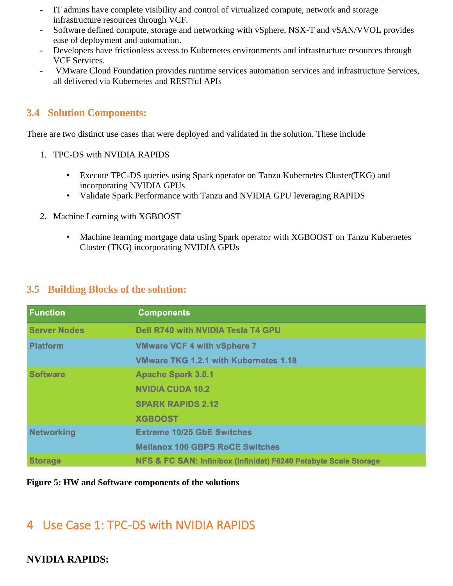- IT admins have complete visibility and control of virtualized compute, network and storage infrastructure resources through VCF.
- Software defined compute, storage and networking with vSphere, NSX-T and vSAN/VVOL provides ease of deployment and automation.
- Developers have frictionless access to Kubernetes environments and infrastructure resources through VCF Services.
- VMware Cloud Foundation provides runtime services automation services and infrastructure Services, all delivered via Kubernetes and RESTful APIs

### **3.4 Solution Components:**

There are two distinct use cases that were deployed and validated in the solution. These include

- 1. TPC-DS with NVIDIA RAPIDS
	- Execute TPC-DS queries using Spark operator on Tanzu Kubernetes Cluster(TKG) and incorporating NVIDIA GPUs
	- Validate Spark Performance with Tanzu and NVIDIA GPU leveraging RAPIDS
- 2. Machine Learning with XGBOOST
	- Machine learning mortgage data using Spark operator with XGBOOST on Tanzu Kubernetes Cluster (TKG) incorporating NVIDIA GPUs

#### **3.5 Building Blocks of the solution:**

| <b>Function</b>     | <b>Components</b>                                                |
|---------------------|------------------------------------------------------------------|
| <b>Server Nodes</b> | <b>Dell R740 with NVIDIA Tesla T4 GPU</b>                        |
| <b>Platform</b>     | <b>VMware VCF 4 with vSphere 7</b>                               |
|                     | <b>VMware TKG 1.2.1 with Kubernetes 1.18</b>                     |
| <b>Software</b>     | <b>Apache Spark 3.0.1</b>                                        |
|                     | <b>NVIDIA CUDA 10.2</b>                                          |
|                     | <b>SPARK RAPIDS 2.12</b>                                         |
|                     | <b>XGBOOST</b>                                                   |
| <b>Networking</b>   | <b>Extreme 10/25 GbE Switches</b>                                |
|                     | <b>Mellanox 100 GBPS RoCE Switches</b>                           |
| <b>Storage</b>      | NFS & FC SAN: Infinibox (Infinidat) F6240 Petabyte Scale Storage |

#### **Figure 5: HW and Software components of the solutions**

## 4 Use Case 1: TPC-DS with NVIDIA RAPIDS

## **NVIDIA RAPIDS:**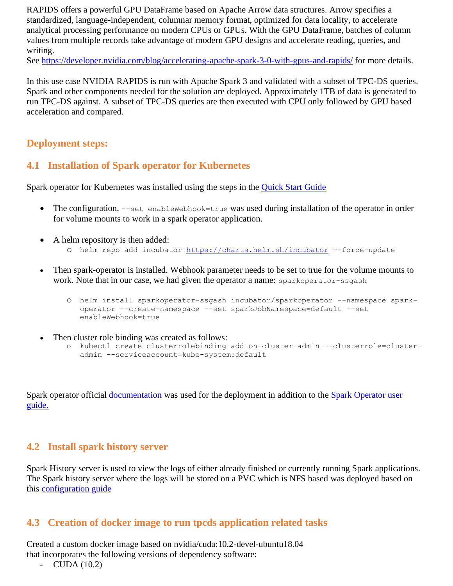RAPIDS offers a powerful GPU DataFrame based on Apache Arrow data structures. Arrow specifies a standardized, language-independent, columnar memory format, optimized for data locality, to accelerate analytical processing performance on modern CPUs or GPUs. With the GPU DataFrame, batches of column values from multiple records take advantage of modern GPU designs and accelerate reading, queries, and writing.

See<https://developer.nvidia.com/blog/accelerating-apache-spark-3-0-with-gpus-and-rapids/> for more details.

In this use case NVIDIA RAPIDS is run with Apache Spark 3 and validated with a subset of TPC-DS queries. Spark and other components needed for the solution are deployed. Approximately 1TB of data is generated to run TPC-DS against. A subset of TPC-DS queries are then executed with CPU only followed by GPU based acceleration and compared.

### **Deployment steps:**

### **4.1 Installation of Spark operator for Kubernetes**

Spark operator for Kubernetes was installed using the steps in the [Quick Start Guide](https://github.com/GoogleCloudPlatform/spark-on-k8s-operator/blob/master/docs/quick-start-guide.md)

- The configuration, --set enableWebhook=true was used during installation of the operator in order for volume mounts to work in a spark operator application.
- A helm repository is then added:
	- o helm repo add incubator<https://charts.helm.sh/incubator> --force-update
- Then spark-operator is installed. Webhook parameter needs to be set to true for the volume mounts to work. Note that in our case, we had given the operator a name: sparkoperator-ssgash
	- o helm install sparkoperator-ssgash incubator/sparkoperator --namespace sparkoperator --create-namespace --set sparkJobNamespace=default --set enableWebhook=true
- Then cluster role binding was created as follows:
	- o kubectl create clusterrolebinding add-on-cluster-admin --clusterrole=clusteradmin --serviceaccount=kube-system:default

Spark operator official <u>[documentation](https://github.com/GoogleCloudPlatform/spark-on-k8s-operator/tree/master/docs)</u> was used for the deployment in addition to the **Spark Operator user** [guide.](https://github.com/GoogleCloudPlatform/spark-on-k8s-operator/blob/master/docs/user-guide.md)

### **4.2 Install spark history server**

Spark History server is used to view the logs of either already finished or currently running Spark applications. The Spark history server where the logs will be stored on a PVC which is NFS based was deployed based on this [configuration guide](https://github.com/helm/cots/tree/master/stable/spark-history-server#configurations)

#### **4.3 Creation of docker image to run tpcds application related tasks**

Created a custom docker image based on nvidia/cuda:10.2-devel-ubuntu18.04 that incorporates the following versions of dependency software:

 $\text{CUDA}$  (10.2)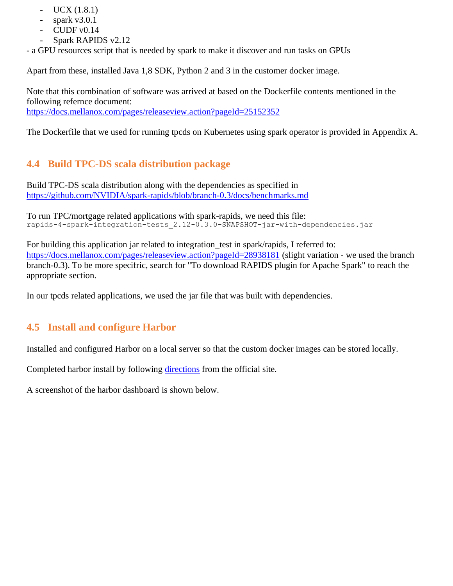- UCX  $(1.8.1)$
- spark  $v3.0.1$
- $\text{CUDF } v0.14$
- Spark RAPIDS v2.12

- a GPU resources script that is needed by spark to make it discover and run tasks on GPUs

Apart from these, installed Java 1,8 SDK, Python 2 and 3 in the customer docker image.

Note that this combination of software was arrived at based on the Dockerfile contents mentioned in the following refernce document:

<https://docs.mellanox.com/pages/releaseview.action?pageId=25152352>

The Dockerfile that we used for running tpcds on Kubernetes using spark operator is provided in Appendix A.

## **4.4 Build TPC-DS scala distribution package**

Build TPC-DS scala distribution along with the dependencies as specified in <https://github.com/NVIDIA/spark-rapids/blob/branch-0.3/docs/benchmarks.md>

To run TPC/mortgage related applications with spark-rapids, we need this file: rapids-4-spark-integration-tests\_2.12-0.3.0-SNAPSHOT-jar-with-dependencies.jar

For building this application jar related to integration test in spark/rapids, I referred to: <https://docs.mellanox.com/pages/releaseview.action?pageId=28938181> (slight variation - we used the branch branch-0.3). To be more specifric, search for "To download RAPIDS plugin for Apache Spark" to reach the appropriate section.

In our tpcds related applications, we used the jar file that was built with dependencies.

## **4.5 Install and configure Harbor**

Installed and configured Harbor on a local server so that the custom docker images can be stored locally.

Completed harbor install by following [directions](https://goharbor.io/docs/2.1.0/install-config/download-installer/) from the official site.

A screenshot of the harbor dashboard is shown below.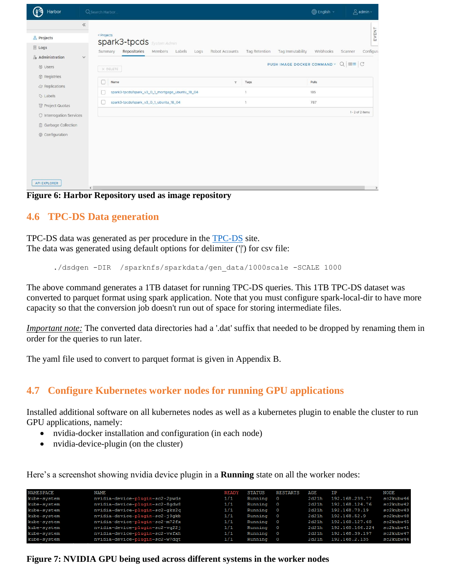| Harbor                                                                                                                                                                                                                                  | Q Search Harbor                                                                                                                                                                                                                    |                                                                     | <b>English</b> ~                                                       | $\beta$ admin $\sim$                              |
|-----------------------------------------------------------------------------------------------------------------------------------------------------------------------------------------------------------------------------------------|------------------------------------------------------------------------------------------------------------------------------------------------------------------------------------------------------------------------------------|---------------------------------------------------------------------|------------------------------------------------------------------------|---------------------------------------------------|
| $\ll$<br>옮 Projects<br>$\Box$ Logs<br>& Administration<br>$\checkmark$<br>啓 Users<br>$•$ Registries<br>$G$ : Replications<br><b>Q</b> Labels<br>T Project Quotas<br>O Interrogation Services<br>而 Garbage Collection<br>© Configuration | < Projects<br>spark3-tpcds system Admin<br>Repositories<br>Members<br>Robot Accounts<br>Summary<br>Labels<br>Logs<br>X DELETE<br>Name<br>spark3-tpcds/spark_v3_0_1_mortgage_ubuntu_18_04<br>spark3-tpcds/spark_v3_0_1_ubuntu_18_04 | Tag Retention<br>Tag Immutability<br>Tags<br>$\tau$<br>$\mathbf{1}$ | Webhooks<br>PUSH IMAGE DOCKER COMMAND v Q 88≣ C<br>Pulls<br>185<br>787 | EVENT<br>Scanner<br>Configuri<br>1 - 2 of 2 items |
| <b>API EXPLORER</b><br>$\left\langle \right\rangle$<br>$\sim$ $\sim$<br>$\blacksquare$                                                                                                                                                  | . .<br>$\bullet$<br>$\bullet$ .<br>$\bullet$ .                                                                                                                                                                                     |                                                                     |                                                                        | $\rightarrow$                                     |

#### **Figure 6: Harbor Repository used as image repository**

#### **4.6 TPC-DS Data generation**

TPC-DS data was generated as per procedure in the [TPC-DS](http://www.tpc.org/tpcds/) site. The data was generated using default options for delimiter ('|') for csv file:

./dsdgen -DIR /sparknfs/sparkdata/gen\_data/1000scale -SCALE 1000

The above command generates a 1TB dataset for running TPC-DS queries. This 1TB TPC-DS dataset was converted to parquet format using spark application. Note that you must configure spark-local-dir to have more capacity so that the conversion job doesn't run out of space for storing intermediate files.

*Important note:* The converted data directories had a '.dat' suffix that needed to be dropped by renaming them in order for the queries to run later.

The yaml file used to convert to parquet format is given in Appendix B.

#### **4.7 Configure Kubernetes worker nodes for running GPU applications**

Installed additional software on all kubernetes nodes as well as a kubernetes plugin to enable the cluster to run GPU applications, namely:

- nvidia-docker installation and configuration (in each node)
- nvidia-device-plugin (on the cluster)

Here's a screenshot showing nvidia device plugin in a **Running** state on all the worker nodes:

| <b>NAMESPACE</b> | <b>NAME</b>                    | <b>READY</b> | <b>STATUS</b> | <b>RESTARTS</b> | AGE   | ΙP              | <b>NODE</b> |
|------------------|--------------------------------|--------------|---------------|-----------------|-------|-----------------|-------------|
| kube-system      | nvidia-device-plugin-sc2-2pwds | 1/1          | Running       | $\circ$         | 2d21h | 192.168.239.77  | sc2kubw46   |
| kube-svstem      | nvidia-device-plugin-sc2-8qdw8 | 1/1          | Running       | $\circ$         | 2d21h | 192.168.124.76  | sc2kubw42   |
| kube-svstem      | nvidia-device-plugin-sc2-gkz2g | 1/1          | Running       | $\circ$         | 2d21h | 192.168.73.19   | sc2kubw43   |
| kube-svstem      | nvidia-device-plugin-sc2-j9gkb | 1/1          | Running       | $\circ$         | 2d21h | 192.168.52.9    | sc2kubw48   |
| kube-system      | nvidia-device-plugin-sc2-m72fx | 1/1          | Running       | $\circ$         | 2d21h | 192.168.127.68  | sc2kubw45   |
| kube-system      | nvidia-device-plugin-sc2-vg22j | 1/1          | Running       | $\circ$         | 2d21h | 192.168.166.224 | sc2kubw41   |
| kube-system      | nvidia-device-plugin-sc2-vwfxh | 1/1          | Running       | $\circ$         | 2d21h | 192.168.39.197  | sc2kubw47   |
| kube-system      | nvidia-device-plugin-sc2-w7dgt | 1/1          | Running       | - 0             | 2d21h | 192.168.2.135   | sc2kubw44   |

**Figure 7: NVIDIA GPU being used across different systems in the worker nodes**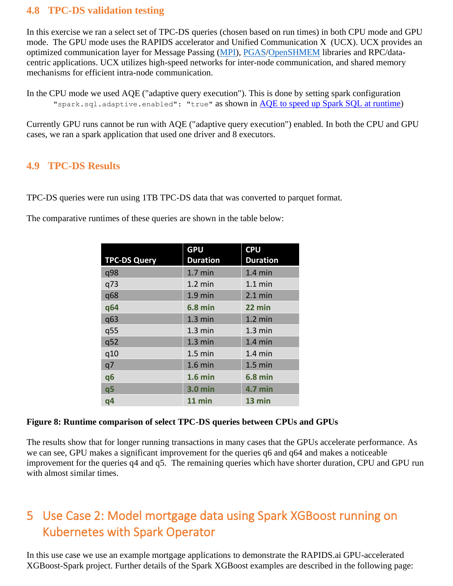#### **4.8 TPC-DS validation testing**

In this exercise we ran a select set of TPC-DS queries (chosen based on run times) in both CPU mode and GPU mode. The GPU mode uses the RAPIDS accelerator and Unified Communication X (UCX). UCX provides an optimized communication layer for Message Passing [\(MPI\)](https://www.mpi-forum.org/), [PGAS](http://www.pgas.org/)[/OpenSHMEM](http://www.openshmem.org/) libraries and RPC/datacentric applications. UCX utilizes high-speed networks for inter-node communication, and shared memory mechanisms for efficient intra-node communication.

In the CPU mode we used AQE ("adaptive query execution"). This is done by setting spark configuration "spark.sql.adaptive.enabled": "true" as shown in [AQE to speed up Spark SQL at runtime\)](https://databricks.com/blog/2020/05/29/adaptive-query-execution-speeding-up-spark-sql-at-runtime.html)

Currently GPU runs cannot be run with AQE ("adaptive query execution") enabled. In both the CPU and GPU cases, we ran a spark application that used one driver and 8 executors.

## **4.9 TPC-DS Results**

TPC-DS queries were run using 1TB TPC-DS data that was converted to parquet format.

The comparative runtimes of these queries are shown in the table below:

|                     | <b>GPU</b>        | <b>CPU</b>        |
|---------------------|-------------------|-------------------|
| <b>TPC-DS Query</b> | <b>Duration</b>   | <b>Duration</b>   |
| q98                 | $1.7$ min         | $1.4 \text{ min}$ |
| q73                 | $1.2 \text{ min}$ | $1.1 \text{ min}$ |
| q68                 | $1.9$ min         | $2.1 \text{ min}$ |
| q64                 | <b>6.8 min</b>    | 22 min            |
| q63                 | $1.3 \text{ min}$ | $1.2$ min         |
| q55                 | $1.3 \text{ min}$ | $1.3 \text{ min}$ |
| q52                 | $1.3$ min         | $1.4$ min         |
| q10                 | $1.5$ min         | $1.4 \text{ min}$ |
| q7                  | $1.6$ min         | $1.5$ min         |
| q6                  | $1.6$ min         | <b>6.8 min</b>    |
| q <sub>5</sub>      | <b>3.0 min</b>    | <b>4.7 min</b>    |
| q4                  | 11 min            | 13 min            |

#### **Figure 8: Runtime comparison of select TPC-DS queries between CPUs and GPUs**

The results show that for longer running transactions in many cases that the GPUs accelerate performance. As we can see, GPU makes a significant improvement for the queries q6 and q64 and makes a noticeable improvement for the queries q4 and q5. The remaining queries which have shorter duration, CPU and GPU run with almost similar times.

## 5 Use Case 2: Model mortgage data using Spark XGBoost running on Kubernetes with Spark Operator

In this use case we use an example mortgage applications to demonstrate the RAPIDS.ai GPU-accelerated XGBoost-Spark project. Further details of the Spark XGBoost examples are described in the following page: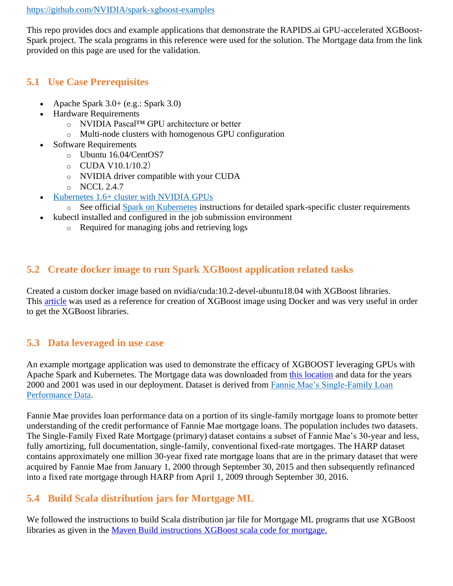#### <https://github.com/NVIDIA/spark-xgboost-examples>

This repo provides docs and example applications that demonstrate the RAPIDS.ai GPU-accelerated XGBoost-Spark project. The scala programs in this reference were used for the solution. The Mortgage data from the link provided on this page are used for the validation.

### **5.1 Use Case Prerequisites**

- Apache Spark 3.0+ (e.g.: Spark 3.0)
- Hardware Requirements
	- o NVIDIA Pascal™ GPU architecture or better
	- o Multi-node clusters with homogenous GPU configuration
- **Software Requirements** 
	- o Ubuntu 16.04/CentOS7
	- $O$  CUDA V10.1/10.2)
	- o NVIDIA driver compatible with your CUDA
	- $O$  NCCL 2.4.7
- [Kubernetes 1.6+ cluster with NVIDIA GPUs](https://docs.nvidia.com/datacenter/kubernetes/index.html)
	- o See official [Spark on Kubernetes](https://spark.apache.org/docs/latest/running-on-kubernetes.html#prerequisites) instructions for detailed spark-specific cluster requirements
	- kubectl installed and configured in the job submission environment
		- o Required for managing jobs and retrieving logs

## **5.2 Create docker image to run Spark XGBoost application related tasks**

Created a custom docker image based on nvidia/cuda:10.2-devel-ubuntu18.04 with XGBoost libraries. This [article](https://kb.brightcomputing.com/knowledge-base/how-do-i-create-docker-images-to-use-nvidia-gpus-with-spark-and-xgboost-via-rapids/) was used as a reference for creation of XGBoost image using Docker and was very useful in order to get the XGBoost libraries.

## **5.3 Data leveraged in use case**

An example mortgage application was used to demonstrate the efficacy of XGBOOST leveraging GPUs with Apache Spark and Kubernetes. The Mortgage data was downloaded from [this location](https://rapidsai.github.io/demos/datasets/mortgage-data) and data for the years 2000 and 2001 was used in our deployment. Dataset is derived from [Fannie Mae's Single-Family Loan](http://www.fanniemae.com/portal/funding-the-market/data/loan-performance-data.html)  [Performance Data.](http://www.fanniemae.com/portal/funding-the-market/data/loan-performance-data.html)

Fannie Mae provides loan performance data on a portion of its single-family mortgage loans to promote better understanding of the credit performance of Fannie Mae mortgage loans. The population includes two datasets. The Single-Family Fixed Rate Mortgage (primary) dataset contains a subset of Fannie Mae's 30-year and less, fully amortizing, full documentation, single-family, conventional fixed-rate mortgages. The HARP dataset contains approximately one million 30-year fixed rate mortgage loans that are in the primary dataset that were acquired by Fannie Mae from January 1, 2000 through September 30, 2015 and then subsequently refinanced into a fixed rate mortgage through HARP from April 1, 2009 through September 30, 2016.

## **5.4 Build Scala distribution jars for Mortgage ML**

We followed the instructions to build Scala distribution jar file for Mortgage ML programs that use XGBoost libraries as given in the [Maven Build instructions XGBoost](https://github.com/NVIDIA/spark-xgboost-examples/blob/spark-3/getting-started-guides/building-sample-apps/scala.md) scala code for mortgage.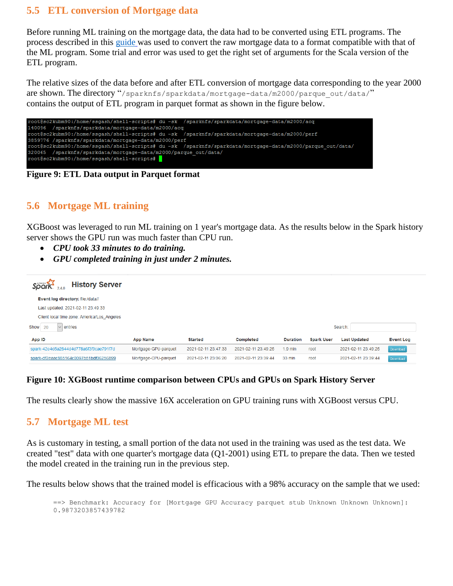### **5.5 ETL conversion of Mortgage data**

Before running ML training on the mortgage data, the data had to be converted using ETL programs. The process described in this [guide](https://github.com/NVIDIA/spark-xgboost-examples/blob/spark-3/getting-started-guides/on-prem-cluster/standalone-scala.md#launch-mortgage-etl) was used to convert the raw mortgage data to a format compatible with that of the ML program. Some trial and error was used to get the right set of arguments for the Scala version of the ETL program.

The relative sizes of the data before and after ETL conversion of mortgage data corresponding to the year 2000 are shown. The directory "/sparknfs/sparkdata/mortgage-data/m2000/parque\_out/data/" contains the output of ETL program in parquet format as shown in the figure below.



**Figure 9: ETL Data output in Parquet format**

### **5.6 Mortgage ML training**

XGBoost was leveraged to run ML training on 1 year's mortgage data. As the results below in the Spark history server shows the GPU run was much faster than CPU run.

- *CPU took 33 minutes to do training.*
- *GPU completed training in just under 2 minutes.*

| <b>History Server</b><br>$S\overline{\rho}$ ark $_{2.4.0}$ |                      |                     |                     |                 |                   |                     |                  |
|------------------------------------------------------------|----------------------|---------------------|---------------------|-----------------|-------------------|---------------------|------------------|
| Event log directory: file:/data//                          |                      |                     |                     |                 |                   |                     |                  |
| Last updated: 2021-02-11 23:49:33                          |                      |                     |                     |                 |                   |                     |                  |
| Client local time zone: America/Los Angeles                |                      |                     |                     |                 |                   |                     |                  |
| Show<br>20<br>entries<br>$\vee$                            |                      |                     |                     |                 |                   | Search:             |                  |
| App ID                                                     | <b>App Name</b>      | <b>Started</b>      | <b>Completed</b>    | <b>Duration</b> | <b>Spark User</b> | <b>Last Updated</b> | <b>Event Log</b> |
| spark-42e4d5a2844d4d778a6f3f9cae791f7d                     | Mortgage-GPU-parquet | 2021-02-11 23:47:33 | 2021-02-11 23:49:25 | $1.9$ min       | root              | 2021-02-11 23:49:25 | Download         |
| spark-df2eaac885164c0097b51bdf06256899                     | Mortgage-CPU-parquet | 2021-02-11 23:06:20 | 2021-02-11 23:39:44 | 33 min          | root              | 2021-02-11 23:39:44 | Download         |

#### **Figure 10: XGBoost runtime comparison between CPUs and GPUs on Spark History Server**

The results clearly show the massive 16X acceleration on GPU training runs with XGBoost versus CPU.

#### **5.7 Mortgage ML test**

As is customary in testing, a small portion of the data not used in the training was used as the test data. We created "test" data with one quarter's mortgage data (Q1-2001) using ETL to prepare the data. Then we tested the model created in the training run in the previous step.

The results below shows that the trained model is efficacious with a 98% accuracy on the sample that we used:

==> Benchmark: Accuracy for [Mortgage GPU Accuracy parquet stub Unknown Unknown Unknown]: 0.9873203857439782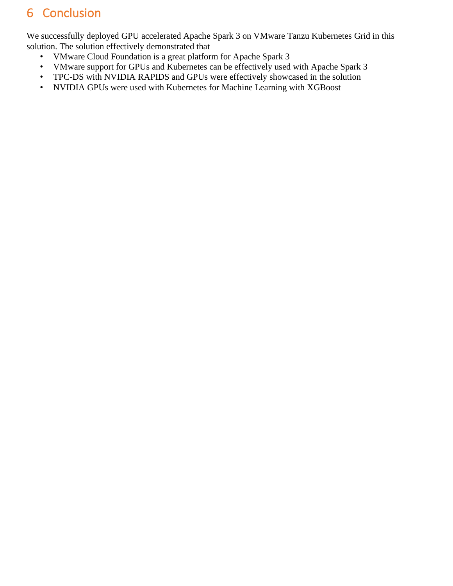## 6 Conclusion

We successfully deployed GPU accelerated Apache Spark 3 on VMware Tanzu Kubernetes Grid in this solution. The solution effectively demonstrated that

- VMware Cloud Foundation is a great platform for Apache Spark 3
- VMware support for GPUs and Kubernetes can be effectively used with Apache Spark 3
- TPC-DS with NVIDIA RAPIDS and GPUs were effectively showcased in the solution
- NVIDIA GPUs were used with Kubernetes for Machine Learning with XGBoost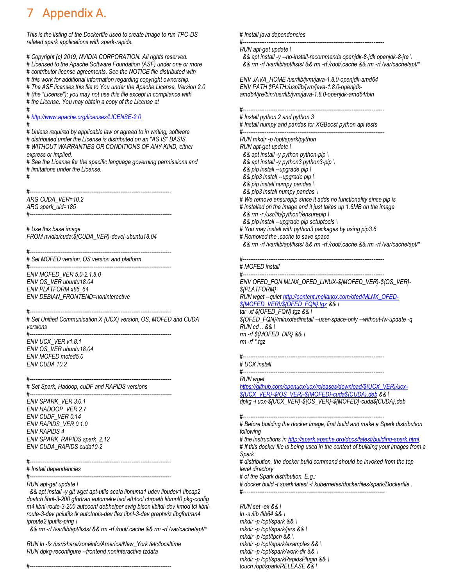## Appendix A.

*This is the listing of the Dockerfile used to create image to run TPC-DS related spark applications with spark-rapids.*

*# Copyright (c) 2019, NVIDIA CORPORATION. All rights reserved. # Licensed to the Apache Software Foundation (ASF) under one or more # contributor license agreements. See the NOTICE file distributed with # this work for additional information regarding copyright ownership. # The ASF licenses this file to You under the Apache License, Version 2.0 # (the "License"); you may not use this file except in compliance with*

*# the License. You may obtain a copy of the License at #*

#### *[# http://www.apache.org/licenses/LICENSE-2.0](http://www.apache.org/licenses/LICENSE-2.0) #*

*# Unless required by applicable law or agreed to in writing, software # distributed under the License is distributed on an "AS IS" BASIS, # WITHOUT WARRANTIES OR CONDITIONS OF ANY KIND, either express or implied.*

*# See the License for the specific language governing permissions and # limitations under the License.*

*#*

*#------------------------------------------------------------------------------ ARG CUDA\_VER=10.2 ARG spark\_uid=185 #------------------------------------------------------------------------------*

*# Use this base image FROM nvidia/cuda:\${CUDA\_VER}-devel-ubuntu18.04*

*#------------------------------------------------------------------------------ # Set MOFED version, OS version and platform*

*#------------------------------------------------------------------------------ ENV MOFED\_VER 5.0-2.1.8.0 ENV OS\_VER ubuntu18.04 ENV PLATFORM x86\_64 ENV DEBIAN\_FRONTEND=noninteractive*

*#------------------------------------------------------------------------------ # Set Unified Communication X {UCX) version, OS, MOFED and CUDA versions*

*#------------------------------------------------------------------------------ ENV UCX\_VER v1.8.1 ENV OS\_VER ubuntu18.04 ENV MOFED mofed5.0 ENV CUDA 10.2*

*#------------------------------------------------------------------------------ # Set Spark, Hadoop, cuDF and RAPIDS versions*

*#------------------------------------------------------------------------------ ENV SPARK\_VER 3.0.1 ENV HADOOP\_VER 2.7 ENV CUDF\_VER 0.14 ENV RAPIDS\_VER 0.1.0 ENV RAPIDS 4 ENV SPARK\_RAPIDS spark\_2.12 ENV CUDA\_RAPIDS cuda10-2*

*#------------------------------------------------------------------------------*

*# Install dependencies*

*#------------------------------------------------------------------------------ RUN apt-get update \*

 *&& apt install -y git wget apt-utils scala libnuma1 udev libudev1 libcap2 dpatch libnl-3-200 gfortran automake lsof ethtool chrpath libmnl0 pkg-config m4 libnl-route-3-200 autoconf debhelper swig bison libltdl-dev kmod tcl libnlroute-3-dev pciutils tk autotools-dev flex libnl-3-dev graphviz libgfortran4 iproute2 iputils-ping \*

 *&& rm -rf /var/lib/apt/lists/ && rm -rf /root/.cache && rm -rf /var/cache/apt/\**

*RUN ln -fs /usr/share/zoneinfo/America/New\_York /etc/localtime RUN dpkg-reconfigure --frontend noninteractive tzdata*

*#------------------------------------------------------------------------------*

*# Install java dependencies*

*#------------------------------------------------------------------------------ RUN apt-get update \*

 *&& apt install -y --no-install-recommends openjdk-8-jdk openjdk-8-jre \ && rm -rf /var/lib/apt/lists/ && rm -rf /root/.cache && rm -rf /var/cache/apt/\**

*ENV JAVA\_HOME /usr/lib/jvm/java-1.8.0-openjdk-amd64 ENV PATH \$PATH:/usr/lib/jvm/java-1.8.0-openjdkamd64/jre/bin:/usr/lib/jvm/java-1.8.0-openjdk-amd64/bin*

*#------------------------------------------------------------------------------ # Install python 2 and python 3*

*# Install numpy and pandas for XGBoost python api tests*

*#------------------------------------------------------------------------------*

*RUN mkdir -p /opt/spark/python*

- *RUN apt-get update \*
- *&& apt install -y python python-pip \*
- *&& apt install -y python3 python3-pip \*
- *&& pip install --upgrade pip \*
- *&& pip3 install --upgrade pip \*
- *&& pip install numpy pandas \*
- *&& pip3 install numpy pandas \*
- *# We remove ensurepip since it adds no functionality since pip is*
- *# installed on the image and it just takes up 1.6MB on the image && rm -r /usr/lib/python\*/ensurepip \ && pip install --upgrade pip setuptools \*
- *# You may install with python3 packages by using pip3.6*
- *# Removed the .cache to save space*
- *&& rm -rf /var/lib/apt/lists/ && rm -rf /root/.cache && rm -rf /var/cache/apt/\**

*#------------------------------------------------------------------------------*

*# MOFED install*

*#------------------------------------------------------------------------------ ENV OFED\_FQN MLNX\_OFED\_LINUX-\${MOFED\_VER}-\${OS\_VER}- \${PLATFORM}*

*RUN wget --quiet [http://content.mellanox.com/ofed/MLNX\\_OFED-](http://content.mellanox.com/ofed/MLNX_OFED-$%7BMOFED_VER%7D/$%7BOFED_FQN%7D.tgz) [\\${MOFED\\_VER}/\\${OFED\\_FQN}.tgz](http://content.mellanox.com/ofed/MLNX_OFED-$%7BMOFED_VER%7D/$%7BOFED_FQN%7D.tgz) && \*

*tar -xf \${OFED\_FQN}.tgz && \*

*\${OFED\_FQN}/mlnxofedinstall --user-space-only --without-fw-update -q RUN cd .. && \ rm -rf \${MOFED\_DIR} && \*

*rm -rf \*.tgz*

*#------------------------------------------------------------------------------*

*# UCX install #------------------------------------------------------------------------------*

*RUN wget*

*[https://github.com/openucx/ucx/releases/download/\\${UCX\\_VER}/ucx-](https://github.com/openucx/ucx/releases/download/$%7BUCX_VER%7D/ucx-$%7BUCX_VER%7D-$%7BOS_VER%7D-$%7BMOFED%7D-cuda$%7BCUDA%7D.deb) [\\${UCX\\_VER}-\\${OS\\_VER}-\\${MOFED}-cuda\\${CUDA}.deb](https://github.com/openucx/ucx/releases/download/$%7BUCX_VER%7D/ucx-$%7BUCX_VER%7D-$%7BOS_VER%7D-$%7BMOFED%7D-cuda$%7BCUDA%7D.deb) && \ dpkg -i ucx-\${UCX\_VER}-\${OS\_VER}-\${MOFED}-cuda\${CUDA}.deb*

*#------------------------------------------------------------------------------*

*# Before building the docker image, first build and make a Spark distribution following*

*# the instructions i[n http://spark.apache.org/docs/latest/building-spark.html.](http://spark.apache.org/docs/latest/building-spark.html)*

*# If this docker file is being used in the context of building your images from a Spark*

*# distribution, the docker build command should be invoked from the top level directory*

*# of the Spark distribution. E.g.:*

*# docker build -t spark:latest -f kubernetes/dockerfiles/spark/Dockerfile . #------------------------------------------------------------------------------*

*RUN set -ex && \ ln -s /lib /lib64 && \ mkdir -p /opt/spark && \ mkdir -p /opt/spark/jars && \ mkdir -p /opt/tpch && \ mkdir -p /opt/spark/examples && \ mkdir -p /opt/spark/work-dir && \ mkdir -p /opt/sparkRapidsPlugin && \ touch /opt/spark/RELEASE && \*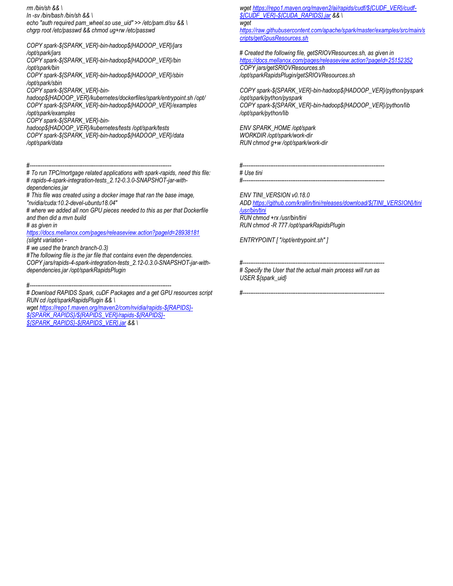*rm /bin/sh && \ ln -sv /bin/bash /bin/sh && \ echo "auth required pam\_wheel.so use\_uid" >> /etc/pam.d/su && \ chgrp root /etc/passwd && chmod ug+rw /etc/passwd*

*COPY spark-\${SPARK\_VER}-bin-hadoop\${HADOOP\_VER}/jars /opt/spark/jars COPY spark-\${SPARK\_VER}-bin-hadoop\${HADOOP\_VER}/bin /opt/spark/bin COPY spark-\${SPARK\_VER}-bin-hadoop\${HADOOP\_VER}/sbin /opt/spark/sbin COPY spark-\${SPARK\_VER}-binhadoop\${HADOOP\_VER}/kubernetes/dockerfiles/spark/entrypoint.sh /opt/ COPY spark-\${SPARK\_VER}-bin-hadoop\${HADOOP\_VER}/examples /opt/spark/examples*

*COPY spark-\${SPARK\_VER}-bin-*

*hadoop\${HADOOP\_VER}/kubernetes/tests /opt/spark/tests COPY spark-\${SPARK\_VER}-bin-hadoop\${HADOOP\_VER}/data /opt/spark/data*

*#------------------------------------------------------------------------------*

*# To run TPC/mortgage related applications with spark-rapids, need this file: # rapids-4-spark-integration-tests\_2.12-0.3.0-SNAPSHOT-jar-withdependencies.jar*

*# This file was created using a docker image that ran the base image, "nvidia/cuda:10.2-devel-ubuntu18.04"*

*# where we added all non GPU pieces needed to this as per that Dockerfile and then did a mvn build*

*# as given in* 

*<https://docs.mellanox.com/pages/releaseview.action?pageId=28938181> (slight variation -*

*# we used the branch branch-0.3)*

*#The following file is the jar file that contains even the dependencies. COPY jars/rapids-4-spark-integration-tests\_2.12-0.3.0-SNAPSHOT-jar-withdependencies.jar /opt/sparkRapidsPlugin*

*#------------------------------------------------------------------------------*

*# Download RAPIDS Spark, cuDF Packages and a get GPU resources script RUN cd /opt/sparkRapidsPlugin && \*

*wge[t https://repo1.maven.org/maven2/com/nvidia/rapids-\\${RAPIDS}-](https://repo1.maven.org/maven2/com/nvidia/rapids-$%7BRAPIDS%7D-$%7BSPARK_RAPIDS%7D/$%7BRAPIDS_VER%7D/rapids-$%7BRAPIDS%7D-$%7BSPARK_RAPIDS%7D-$%7BRAPIDS_VER%7D.jar) [\\${SPARK\\_RAPIDS}/\\${RAPIDS\\_VER}/rapids-\\${RAPIDS}-](https://repo1.maven.org/maven2/com/nvidia/rapids-$%7BRAPIDS%7D-$%7BSPARK_RAPIDS%7D/$%7BRAPIDS_VER%7D/rapids-$%7BRAPIDS%7D-$%7BSPARK_RAPIDS%7D-$%7BRAPIDS_VER%7D.jar) [\\${SPARK\\_RAPIDS}-\\${RAPIDS\\_VER}.jar](https://repo1.maven.org/maven2/com/nvidia/rapids-$%7BRAPIDS%7D-$%7BSPARK_RAPIDS%7D/$%7BRAPIDS_VER%7D/rapids-$%7BRAPIDS%7D-$%7BSPARK_RAPIDS%7D-$%7BRAPIDS_VER%7D.jar) && \*

*wge[t https://repo1.maven.org/maven2/ai/rapids/cudf/\\${CUDF\\_VER}/cudf-](https://repo1.maven.org/maven2/ai/rapids/cudf/$%7BCUDF_VER%7D/cudf-$%7BCUDF_VER%7D-$%7BCUDA_RAPIDS%7D.jar) [\\${CUDF\\_VER}-\\${CUDA\\_RAPIDS}.jar](https://repo1.maven.org/maven2/ai/rapids/cudf/$%7BCUDF_VER%7D/cudf-$%7BCUDF_VER%7D-$%7BCUDA_RAPIDS%7D.jar) && \ wget [https://raw.githubusercontent.com/apache/spark/master/examples/src/main/s](https://raw.githubusercontent.com/apache/spark/master/examples/src/main/scripts/getGpusResources.sh) [cripts/getGpusResources.sh](https://raw.githubusercontent.com/apache/spark/master/examples/src/main/scripts/getGpusResources.sh)*

*# Created the following file, getSRIOVResources.sh, as given in <https://docs.mellanox.com/pages/releaseview.action?pageId=25152352> COPY jars/getSRIOVResources.sh /opt/sparkRapidsPlugin/getSRIOVResources.sh*

*COPY spark-\${SPARK\_VER}-bin-hadoop\${HADOOP\_VER}/python/pyspark /opt/spark/python/pyspark COPY spark-\${SPARK\_VER}-bin-hadoop\${HADOOP\_VER}/python/lib /opt/spark/python/lib*

*ENV SPARK\_HOME /opt/spark WORKDIR /opt/spark/work-dir RUN chmod g+w /opt/spark/work-dir*

*#------------------------------------------------------------------------------ # Use tini #------------------------------------------------------------------------------*

*ENV TINI\_VERSION v0.18.0*

*AD[D https://github.com/krallin/tini/releases/download/\\${TINI\\_VERSION}/tini](https://github.com/krallin/tini/releases/download/$%7BTINI_VERSION%7D/tini%20/usr/bin/tini)  [/usr/bin/tini](https://github.com/krallin/tini/releases/download/$%7BTINI_VERSION%7D/tini%20/usr/bin/tini) RUN chmod +rx /usr/bin/tini*

*RUN chmod -R 777 /opt/sparkRapidsPlugin*

*ENTRYPOINT [ "/opt/entrypoint.sh" ]*

*#------------------------------------------------------------------------------*

*#------------------------------------------------------------------------------ # Specify the User that the actual main process will run as USER \${spark\_uid}*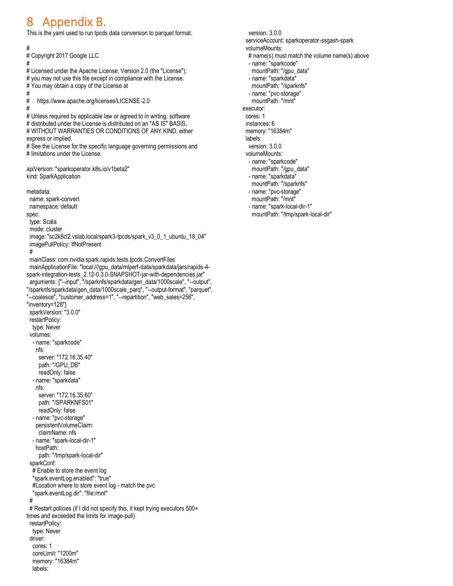## 8 Appendix B.

This is the yaml used to run tpcds data conversion to parquet format.

#

# Copyright 2017 Google LLC

#

# Licensed under the Apache License, Version 2.0 (the "License"); # you may not use this file except in compliance with the License. # You may obtain a copy of the License at

#

# <https://www.apache.org/licenses/LICENSE-2.0> #

# Unless required by applicable law or agreed to in writing, software # distributed under the License is distributed on an "AS IS" BASIS. # WITHOUT WARRANTIES OR CONDITIONS OF ANY KIND, either express or implied.

# See the License for the specific language governing permissions and # limitations under the License.

apiVersion: "sparkoperator.k8s.io/v1beta2" kind: SparkApplication

metadata:

 name: spark-convert namespace: default spec: type: Scala mode: cluster image: "sc2k8cl2.vslab.local/spark3-tpcds/spark\_v3\_0\_1\_ubuntu\_18\_04" imagePullPolicy: IfNotPresent # mainClass: com.nvidia.spark.rapids.tests.tpcds.ConvertFiles mainApplicationFile: "local:///gpu\_data/mlperf-data/sparkdata/jars/rapids-4 spark-integration-tests\_2.12-0.3.0-SNAPSHOT-jar-with-dependencies.jar" arguments: ["--input", "/sparknfs/sparkdata/gen\_data/1000scale", "--output", "/sparknfs/sparkdata/gen\_data/1000scale\_parq", "--output-format", "parquet", "--coalesce", "customer\_address=1", "--repartition", "web\_sales=256", "inventory=128"] sparkVersion: "3.0.0" restartPolicy: type: Never volumes: - name: "sparkcode" nfs: server: "172.16.35.40" path: "/GPU\_DB" readOnly: false - name: "sparkdata" nfs: server: "172.16.35.60" path: "/SPARKNFS01" readOnly: false - name: "pvc-storage" persistentVolumeClaim: claimName: nfs - name: "spark-local-dir-1" hostPath: path: "/tmp/spark-local-dir" sparkConf: # Enable to store the event log "spark.eventLog.enabled": "true" #Location where to store event log - match the pvc "spark.eventLog.dir": ["file:/mnt"](/mnt) # # Restart policies (if I did not specify this, it kept trying executors 500+ times and exceeded the limits for image-pull). restartPolicy: type: Never driver: cores: 1 coreLimit: "1200m" memory: "16384m" labels:

 version: 3.0.0 serviceAccount: sparkoperator-ssgash-spark volumeMounts: # name(s) must match the volume name(s) above - name: "sparkcode" mountPath: "/gpu\_data" - name: "sparkdata" mountPath: "/sparknfs" - name: "pvc-storage" mountPath: "/mnt" executor: cores: 1 instances: 6 memory: "16384m" labels: version: 3.0.0 volumeMounts: - name: "sparkcode" mountPath: "/gpu\_data" - name: "sparkdata" mountPath: "/sparknfs" - name: "pvc-storage" mountPath: "/mnt" - name: "spark-local-dir-1" mountPath: "/tmp/spark-local-dir"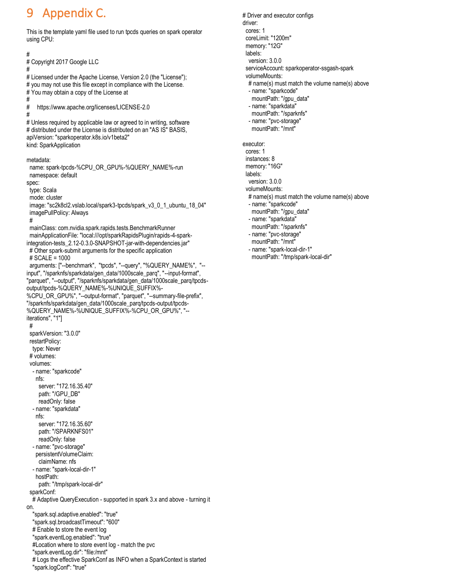## 9 Appendix C.

"spark.logConf": "true"

#

#

This is the template yaml file used to run tpcds queries on spark operator using CPU:

# # Copyright 2017 Google LLC # Licensed under the Apache License, Version 2.0 (the "License"); # you may not use this file except in compliance with the License. # You may obtain a copy of the License at # <https://www.apache.org/licenses/LICENSE-2.0> # # Unless required by applicable law or agreed to in writing, software # distributed under the License is distributed on an "AS IS" BASIS, apiVersion: "sparkoperator.k8s.io/v1beta2" kind: SparkApplication metadata: name: spark-tpcds-%CPU\_OR\_GPU%-%QUERY\_NAME%-run namespace: default spec: type: Scala mode: cluster image: "sc2k8cl2.vslab.local/spark3-tpcds/spark\_v3\_0\_1\_ubuntu\_18\_04" imagePullPolicy: Always # mainClass: com.nvidia.spark.rapids.tests.BenchmarkRunner mainApplicationFile: "local:///opt/sparkRapidsPlugin/rapids-4-sparkintegration-tests\_2.12-0.3.0-SNAPSHOT-jar-with-dependencies.jar" # Other spark-submit arguments for the specific application # SCALE = 1000 arguments: ["--benchmark", "tpcds", "--query", "%QUERY\_NAME%", "- input", "/sparknfs/sparkdata/gen\_data/1000scale\_parq", "--input-format", "parquet", "--output", "/sparknfs/sparkdata/gen\_data/1000scale\_parq/tpcdsoutput/tpcds-%QUERY\_NAME%-%UNIQUE\_SUFFIX%- %CPU\_OR\_GPU%", "--output-format", "parquet", "--summary-file-prefix", "/sparknfs/sparkdata/gen\_data/1000scale\_parq/tpcds-output/tpcds- %QUERY\_NAME%-%UNIQUE\_SUFFIX%-%CPU\_OR\_GPU%", "- iterations", "1"] # sparkVersion: "3.0.0" restartPolicy: type: Never # volumes: volumes: - name: "sparkcode" nfs: server: "172.16.35.40" path: "/GPU\_DB" readOnly: false - name: "sparkdata" nfs: server: "172.16.35.60" path: "/SPARKNFS01" readOnly: false - name: "pvc-storage" persistentVolumeClaim: claimName: nfs - name: "spark-local-dir-1" hostPath: path: "/tmp/spark-local-dir" sparkConf: # Adaptive QueryExecution - supported in spark 3.x and above - turning it on. "spark.sql.adaptive.enabled": "true" "spark.sql.broadcastTimeout": "600" # Enable to store the event log "spark.eventLog.enabled": "true" #Location where to store event log - match the pvc "spark.eventLog.dir": ["file:/mnt"](/mnt) # Logs the effective SparkConf as INFO when a SparkContext is started

 # Driver and executor configs driver: cores: 1 coreLimit: "1200m" memory: "12G" labels: version: 3.0.0 serviceAccount: sparkoperator-ssgash-spark volumeMounts: # name(s) must match the volume name(s) above - name: "sparkcode" mountPath: "/gpu\_data" - name: "sparkdata" mountPath: "/sparknfs" - name: "pvc-storage" mountPath: "/mnt" executor: cores: 1 instances: 8 memory: "16G" labels: version: 3.0.0 volumeMounts: # name(s) must match the volume name(s) above - name: "sparkcode" mountPath: "/gpu\_data" - name: "sparkdata" mountPath: "/sparknfs" - name: "pvc-storage" mountPath: "/mnt" - name: "spark-local-dir-1" mountPath: "/tmp/spark-local-dir"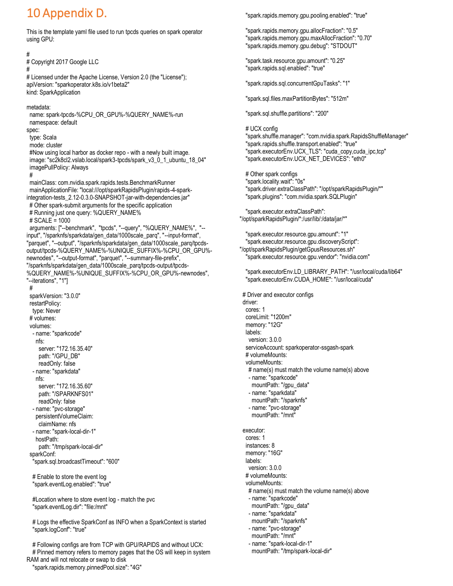## 10 Appendix D.

This is the template yaml file used to run tpcds queries on spark operator using GPU:

# # Copyright 2017 Google LLC # # Licensed under the Apache License, Version 2.0 (the "License"); apiVersion: "sparkoperator.k8s.io/v1beta2" kind: SparkApplication metadata: name: spark-tpcds-%CPU\_OR\_GPU%-%QUERY\_NAME%-run namespace: default spec: type: Scala mode: cluster #Now using local harbor as docker repo - with a newly built image. image: "sc2k8cl2.vslab.local/spark3-tpcds/spark\_v3\_0\_1\_ubuntu\_18\_04" imagePullPolicy: Always # mainClass: com.nvidia.spark.rapids.tests.BenchmarkRunner mainApplicationFile: "local:///opt/sparkRapidsPlugin/rapids-4-sparkintegration-tests\_2.12-0.3.0-SNAPSHOT-jar-with-dependencies.jar" # Other spark-submit arguments for the specific application # Running just one query: %QUERY\_NAME% # SCALE = 1000 arguments: ["--benchmark", "tpcds", "--query", "%QUERY\_NAME%", "- input", "/sparknfs/sparkdata/gen\_data/1000scale\_parq", "--input-format", "parquet", "--output", "/sparknfs/sparkdata/gen\_data/1000scale\_parq/tpcdsoutput/tpcds-%QUERY\_NAME%-%UNIQUE\_SUFFIX%-%CPU\_OR\_GPU% newnodes", "--output-format", "parquet", "--summary-file-prefix", "/sparknfs/sparkdata/gen\_data/1000scale\_parq/tpcds-output/tpcds- %QUERY\_NAME%-%UNIQUE\_SUFFIX%-%CPU\_OR\_GPU%-newnodes", "--iterations", "1"] # sparkVersion: "3.0.0" restartPolicy: type: Never # volumes: volumes: - name: "sparkcode" nfs: server: "172.16.35.40" path: "/GPU\_DB" readOnly: false - name: "sparkdata" nfs: server: "172.16.35.60" path: "/SPARKNFS01" readOnly: false - name: "pvc-storage" persistentVolumeClaim: claimName: nfs - name: "spark-local-dir-1" hostPath: path: "/tmp/spark-local-dir" sparkConf: "spark.sql.broadcastTimeout": "600" # Enable to store the event log "spark.eventLog.enabled": "true" #Location where to store event log - match the pvc "spark.eventLog.dir": ["file:/mnt"](/mnt) # Logs the effective SparkConf as INFO when a SparkContext is started "spark.logConf": "true"

 # Following configs are from TCP with GPU/RAPIDS and without UCX: # Pinned memory refers to memory pages that the OS will keep in system RAM and will not relocate or swap to disk

"spark.rapids.memory.pinnedPool.size": "4G"

"spark.rapids.memory.gpu.pooling.enabled": "true"

 "spark.rapids.memory.gpu.allocFraction": "0.5" "spark.rapids.memory.gpu.maxAllocFraction": "0.70" "spark.rapids.memory.gpu.debug": "STDOUT"

 "spark.task.resource.gpu.amount": "0.25" "spark.rapids.sql.enabled": "true"

"spark.rapids.sql.concurrentGpuTasks": "1"

"spark.sql.files.maxPartitionBytes": "512m"

"spark.sql.shuffle.partitions": "200"

 # UCX config "spark.shuffle.manager": "com.nvidia.spark.RapidsShuffleManager" "spark.rapids.shuffle.transport.enabled": "true" "spark.executorEnv.UCX\_TLS": "cuda\_copy,cuda\_ipc,tcp" "spark.executorEnv.UCX\_NET\_DEVICES": "eth0"

 # Other spark configs "spark.locality.wait": "0s" "spark.driver.extraClassPath": "/opt/sparkRapidsPlugin/\*" "spark.plugins": "com.nvidia.spark.SQLPlugin"

 "spark.executor.extraClassPath": "/opt/sparkRapidsPlugin/\*:/usr/lib/:/data/jar/\*"

 "spark.executor.resource.gpu.amount": "1" "spark.executor.resource.gpu.discoveryScript": "/opt/sparkRapidsPlugin/getGpusResources.sh" "spark.executor.resource.gpu.vendor": "nvidia.com"

 "spark.executorEnv.LD\_LIBRARY\_PATH": "/usr/local/cuda/lib64" "spark.executorEnv.CUDA\_HOME": "/usr/local/cuda"

 # Driver and executor configs driver: cores: 1 coreLimit: "1200m" memory: "12G" labels: version: 3.0.0 serviceAccount: sparkoperator-ssgash-spark # volumeMounts: volumeMounts: # name(s) must match the volume name(s) above - name: "sparkcode" mountPath: "/gpu\_data" - name: "sparkdata" mountPath: "/sparknfs" - name: "pvc-storage" mountPath: "/mnt" executor: cores: 1 instances: 8 memory: "16G" labels: version: 3.0.0 # volumeMounts: volumeMounts: # name(s) must match the volume name(s) above - name: "sparkcode" mountPath: "/gpu\_data" - name: "sparkdata" mountPath: "/sparknfs" - name: "pvc-storage" mountPath: "/mnt" - name: "spark-local-dir-1"

mountPath: "/tmp/spark-local-dir"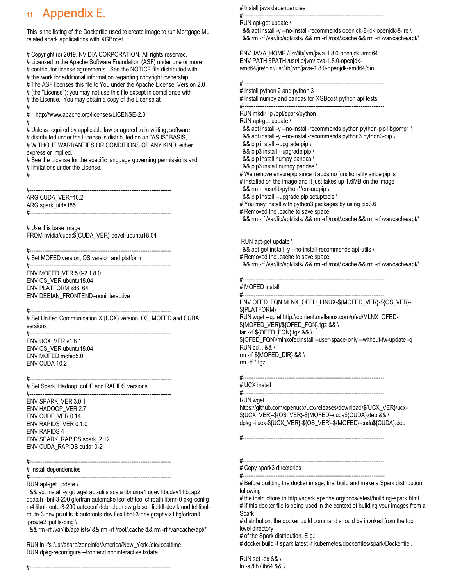## **<sup>11</sup>** Appendix E.

This is the listing of the Dockerfile used to create image to run Mortgage ML related spark applications with XGBoost.

# Copyright (c) 2019, NVIDIA CORPORATION. All rights reserved. # Licensed to the Apache Software Foundation (ASF) under one or more # contributor license agreements. See the NOTICE file distributed with # this work for additional information regarding copyright ownership. # The ASF licenses this file to You under the Apache License, Version 2.0 # (the "License"); you may not use this file except in compliance with # the License. You may obtain a copy of the License at #

# <http://www.apache.org/licenses/LICENSE-2.0> #

# Unless required by applicable law or agreed to in writing, software # distributed under the License is distributed on an "AS IS" BASIS, # WITHOUT WARRANTIES OR CONDITIONS OF ANY KIND, either express or implied.

# See the License for the specific language governing permissions and # limitations under the License.

#------------------------------------------------------------------------------

#

ARG CUDA\_VER=10.2 ARG spark\_uid=185 #------------------------------------------------------------------------------

# Use this base image FROM nvidia/cuda:\${CUDA\_VER}-devel-ubuntu18.04

#------------------------------------------------------------------------------ # Set MOFED version, OS version and platform

#------------------------------------------------------------------------------ ENV MOFED\_VER 5.0-2.1.8.0 ENV OS\_VER ubuntu18.04 ENV PLATFORM x86\_64 ENV DEBIAN\_FRONTEND=noninteractive

#------------------------------------------------------------------------------ # Set Unified Communication X {UCX) version, OS, MOFED and CUDA versions

#------------------------------------------------------------------------------ ENV UCX\_VER v1.8.1 ENV OS\_VER ubuntu18.04 ENV MOFED mofed5.0 ENV CUDA 10.2

#------------------------------------------------------------------------------ # Set Spark, Hadoop, cuDF and RAPIDS versions #------------------------------------------------------------------------------

ENV SPARK\_VER 3.0.1 ENV HADOOP\_VER 2.7 ENV CUDF\_VER 0.14 ENV RAPIDS\_VER 0.1.0 ENV RAPIDS 4 ENV SPARK\_RAPIDS spark\_2.12 ENV CUDA\_RAPIDS cuda10-2

#------------------------------------------------------------------------------

# Install dependencies

#------------------------------------------------------------------------------ RUN apt-get update \

 && apt install -y git wget apt-utils scala libnuma1 udev libudev1 libcap2 dpatch libnl-3-200 gfortran automake lsof ethtool chrpath libmnl0 pkg-config m4 libnl-route-3-200 autoconf debhelper swig bison libltdl-dev kmod tcl libnlroute-3-dev pciutils tk autotools-dev flex libnl-3-dev graphviz libgfortran4 iproute2 iputils-ping \

&& rm -rf /var/lib/apt/lists/ && rm -rf /root/.cache && rm -rf /var/cache/apt/\*

RUN ln -fs /usr/share/zoneinfo/America/New\_York /etc/localtime RUN dpkg-reconfigure --frontend noninteractive tzdata

# Install java dependencies

#------------------------------------------------------------------------------

RUN apt-get update \

 && apt install -y --no-install-recommends openjdk-8-jdk openjdk-8-jre \ && rm -rf /var/lib/apt/lists/ && rm -rf /root/.cache && rm -rf /var/cache/apt/\*

ENV JAVA\_HOME /usr/lib/jvm/java-1.8.0-openjdk-amd64 ENV PATH \$PATH:/usr/lib/jvm/java-1.8.0-openjdkamd64/jre/bin:/usr/lib/jvm/java-1.8.0-openjdk-amd64/bin

#------------------------------------------------------------------------------ # Install python 2 and python 3

# Install numpy and pandas for XGBoost python api tests

#------------------------------------------------------------------------------ RUN mkdir -p /opt/spark/python

RUN apt-get update \

&& apt install -y --no-install-recommends python python-pip libgomp1 \

&& apt install -y --no-install-recommends python3 python3-pip \

&& pip install --upgrade pip \

&& pip3 install --upgrade pip \

&& pip install numpy pandas \

&& pip3 install numpy pandas \

# We remove ensurepip since it adds no functionality since pip is

# installed on the image and it just takes up 1.6MB on the image && rm -r /usr/lib/python\*/ensurepip \ && pip install --upgrade pip setuptools \

# You may install with python3 packages by using pip3.6

# Removed the .cache to save space && rm -rf /var/lib/apt/lists/ && rm -rf /root/.cache && rm -rf /var/cache/apt/\*

RUN apt-get update \

&& apt-get install -y --no-install-recommends apt-utils \

# Removed the .cache to save space

&& rm -rf /var/lib/apt/lists/ && rm -rf /root/.cache && rm -rf /var/cache/apt/\*

#------------------------------------------------------------------------------

# MOFED install #------------------------------------------------------------------------------

ENV OFED\_FQN MLNX\_OFED\_LINUX-\${MOFED\_VER}-\${OS\_VER}- \${PLATFORM} RUN wget --quie[t http://content.mellanox.com/ofed/MLNX\\_OFED-](http://content.mellanox.com/ofed/MLNX_OFED-$%7BMOFED_VER%7D/$%7BOFED_FQN%7D.tgz) [\\${MOFED\\_VER}/\\${OFED\\_FQN}.tgz](http://content.mellanox.com/ofed/MLNX_OFED-$%7BMOFED_VER%7D/$%7BOFED_FQN%7D.tgz) && \ tar -xf \${OFED\_FQN}.tgz && \ \${OFED\_FQN}/mlnxofedinstall --user-space-only --without-fw-update -q RUN cd  $.88 \$ rm -rf \${MOFED\_DIR} && \ rm -rf \*.tgz

#------------------------------------------------------------------------------ # UCX install

#------------------------------------------------------------------------------

RUN wget

[https://github.com/openucx/ucx/releases/download/\\${UCX\\_VER}/ucx-](https://github.com/openucx/ucx/releases/download/$%7BUCX_VER%7D/ucx-$%7BUCX_VER%7D-$%7BOS_VER%7D-$%7BMOFED%7D-cuda$%7BCUDA%7D.deb) [\\${UCX\\_VER}-\\${OS\\_VER}-\\${MOFED}-cuda\\${CUDA}.deb](https://github.com/openucx/ucx/releases/download/$%7BUCX_VER%7D/ucx-$%7BUCX_VER%7D-$%7BOS_VER%7D-$%7BMOFED%7D-cuda$%7BCUDA%7D.deb) && \ dpkg -i ucx-\${UCX\_VER}-\${OS\_VER}-\${MOFED}-cuda\${CUDA}.deb

#------------------------------------------------------------------------------

#----------------------

# Copy spark3 directories

#------------------------------------------------------------------------------ # Before building the docker image, first build and make a Spark distribution following

# the instructions i[n http://spark.apache.org/docs/latest/building-spark.html.](http://spark.apache.org/docs/latest/building-spark.html)

# If this docker file is being used in the context of building your images from a Spark

# distribution, the docker build command should be invoked from the top level directory

# of the Spark distribution. E.g.:

# docker build -t spark:latest -f kubernetes/dockerfiles/spark/Dockerfile .

RUN set -ex && \

ln -s /lib /lib64 && \

#------------------------------------------------------------------------------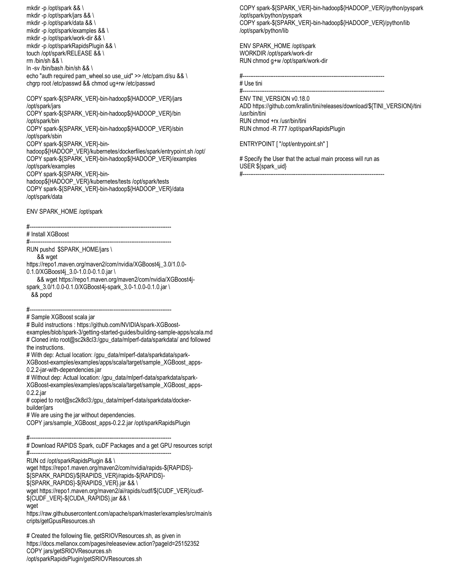mkdir -p /opt/spark && \ mkdir -p /opt/spark/jars && \ mkdir -p /opt/spark/data && \ mkdir -p /opt/spark/examples && \ mkdir -p /opt/spark/work-dir && \ mkdir -p /opt/sparkRapidsPlugin && \ touch /opt/spark/RELEASE && \ rm /bin/sh && \ ln -sv /bin/bash /bin/sh && \

echo "auth required pam\_wheel.so use\_uid" >> /etc/pam.d/su && \ chgrp root /etc/passwd && chmod ug+rw /etc/passwd

COPY spark-\${SPARK\_VER}-bin-hadoop\${HADOOP\_VER}/jars /opt/spark/jars COPY spark-\${SPARK\_VER}-bin-hadoop\${HADOOP\_VER}/bin /opt/spark/bin COPY spark-\${SPARK\_VER}-bin-hadoop\${HADOOP\_VER}/sbin /opt/spark/sbin COPY spark-\${SPARK\_VER}-binhadoop\${HADOOP\_VER}/kubernetes/dockerfiles/spark/entrypoint.sh /opt/ COPY spark-\${SPARK\_VER}-bin-hadoop\${HADOOP\_VER}/examples /opt/spark/examples COPY spark-\${SPARK\_VER}-binhadoop\${HADOOP\_VER}/kubernetes/tests /opt/spark/tests

COPY spark-\${SPARK\_VER}-bin-hadoop\${HADOOP\_VER}/data /opt/spark/data

ENV SPARK\_HOME /opt/spark

#------------------------------------------------------------------------------

# Install XGBoost

#------------------------------------------------------------------------------ RUN pushd \$SPARK\_HOME/jars \

&& wget

[https://repo1.maven.org/maven2/com/nvidia/XGBoost4j\\_3.0/1.0.0-](https://repo1.maven.org/maven2/com/nvidia/xgboost4j_3.0/1.0.0-0.1.0/xgboost4j_3.0-1.0.0-0.1.0.jar) [0.1.0/XGBoost4j\\_3.0-1.0.0-0.1.0.jar](https://repo1.maven.org/maven2/com/nvidia/xgboost4j_3.0/1.0.0-0.1.0/xgboost4j_3.0-1.0.0-0.1.0.jar) \

 && wget [https://repo1.maven.org/maven2/com/nvidia/XGBoost4j](https://repo1.maven.org/maven2/com/nvidia/xgboost4j-spark_3.0/1.0.0-0.1.0/xgboost4j-spark_3.0-1.0.0-0.1.0.jar)[spark\\_3.0/1.0.0-0.1.0/XGBoost4j-spark\\_3.0-1.0.0-0.1.0.jar](https://repo1.maven.org/maven2/com/nvidia/xgboost4j-spark_3.0/1.0.0-0.1.0/xgboost4j-spark_3.0-1.0.0-0.1.0.jar) \ && popd

#------------------------------------------------------------------------------

# Sample XGBoost scala jar

# Build instructions : [https://github.com/NVIDIA/spark-XGBoost-](https://github.com/NVIDIA/spark-xgboost-examples/blob/spark-3/getting-started-guides/building-sample-apps/scala.md)

[examples/blob/spark-3/getting-started-guides/building-sample-apps/scala.md](https://github.com/NVIDIA/spark-xgboost-examples/blob/spark-3/getting-started-guides/building-sample-apps/scala.md) # Cloned into root@sc2k8cl3:/gpu\_data/mlperf-data/sparkdata/ and followed the instructions.

# With dep: Actual location: /gpu\_data/mlperf-data/sparkdata/spark-

XGBoost-examples/examples/apps/scala/target/sample\_XGBoost\_apps-0.2.2-jar-with-dependencies.jar

# Without dep: Actual location: /gpu\_data/mlperf-data/sparkdata/spark-XGBoost-examples/examples/apps/scala/target/sample\_XGBoost\_apps-0.2.2.jar

# copied to root@sc2k8cl3:/gpu\_data/mlperf-data/sparkdata/dockerbuilder/jars

# We are using the jar without dependencies.

COPY jars/sample\_XGBoost\_apps-0.2.2.jar /opt/sparkRapidsPlugin

#------------------------------------------------------------------------------

# Download RAPIDS Spark, cuDF Packages and a get GPU resources script #------------------------------------------------------------------------------

RUN cd /opt/sparkRapidsPlugin && \

wge[t https://repo1.maven.org/maven2/com/nvidia/rapids-\\${RAPIDS}-](https://repo1.maven.org/maven2/com/nvidia/rapids-$%7BRAPIDS%7D-$%7BSPARK_RAPIDS%7D/$%7BRAPIDS_VER%7D/rapids-$%7BRAPIDS%7D-$%7BSPARK_RAPIDS%7D-$%7BRAPIDS_VER%7D.jar)

[\\${SPARK\\_RAPIDS}/\\${RAPIDS\\_VER}/rapids-\\${RAPIDS}-](https://repo1.maven.org/maven2/com/nvidia/rapids-$%7BRAPIDS%7D-$%7BSPARK_RAPIDS%7D/$%7BRAPIDS_VER%7D/rapids-$%7BRAPIDS%7D-$%7BSPARK_RAPIDS%7D-$%7BRAPIDS_VER%7D.jar)

[\\${SPARK\\_RAPIDS}-\\${RAPIDS\\_VER}.jar](https://repo1.maven.org/maven2/com/nvidia/rapids-$%7BRAPIDS%7D-$%7BSPARK_RAPIDS%7D/$%7BRAPIDS_VER%7D/rapids-$%7BRAPIDS%7D-$%7BSPARK_RAPIDS%7D-$%7BRAPIDS_VER%7D.jar) && \

wge[t https://repo1.maven.org/maven2/ai/rapids/cudf/\\${CUDF\\_VER}/cudf-](https://repo1.maven.org/maven2/ai/rapids/cudf/$%7BCUDF_VER%7D/cudf-$%7BCUDF_VER%7D-$%7BCUDA_RAPIDS%7D.jar)

[\\${CUDF\\_VER}-\\${CUDA\\_RAPIDS}.jar](https://repo1.maven.org/maven2/ai/rapids/cudf/$%7BCUDF_VER%7D/cudf-$%7BCUDF_VER%7D-$%7BCUDA_RAPIDS%7D.jar) && \

wget

[https://raw.githubusercontent.com/apache/spark/master/examples/src/main/s](https://raw.githubusercontent.com/apache/spark/master/examples/src/main/scripts/getGpusResources.sh) [cripts/getGpusResources.sh](https://raw.githubusercontent.com/apache/spark/master/examples/src/main/scripts/getGpusResources.sh)

# Created the following file, getSRIOVResources.sh, as given in <https://docs.mellanox.com/pages/releaseview.action?pageId=25152352> COPY jars/getSRIOVResources.sh /opt/sparkRapidsPlugin/getSRIOVResources.sh

COPY spark-\${SPARK\_VER}-bin-hadoop\${HADOOP\_VER}/python/pyspark /opt/spark/python/pyspark COPY spark-\${SPARK\_VER}-bin-hadoop\${HADOOP\_VER}/python/lib /opt/spark/python/lib

ENV SPARK\_HOME /opt/spark WORKDIR /opt/spark/work-dir RUN chmod g+w /opt/spark/work-dir

#------------------------------------------------------------------------------ # Use tini

#------------------------------------------------------------------------------

ENV TINI\_VERSION v0.18.0 AD[D https://github.com/krallin/tini/releases/download/\\${TINI\\_VERSION}/tini](https://github.com/krallin/tini/releases/download/$%7BTINI_VERSION%7D/tini%20/usr/bin/tini)  [/usr/bin/tini](https://github.com/krallin/tini/releases/download/$%7BTINI_VERSION%7D/tini%20/usr/bin/tini) RUN chmod +rx /usr/bin/tini RUN chmod -R 777 /opt/sparkRapidsPlugin

ENTRYPOINT [ "/opt/entrypoint.sh" ]

# Specify the User that the actual main process will run as USER \${spark\_uid} #------------------------------------------------------------------------------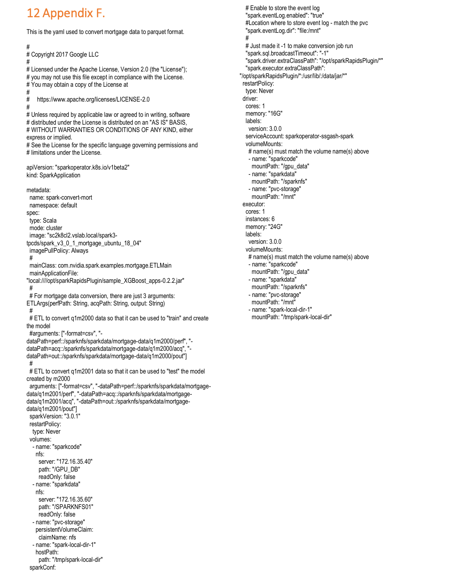# 12 Appendix F.

#

#

#

#

This is the yaml used to convert mortgage data to parquet format.

# Copyright 2017 Google LLC # Licensed under the Apache License, Version 2.0 (the "License"); # you may not use this file except in compliance with the License. # You may obtain a copy of the License at # <https://www.apache.org/licenses/LICENSE-2.0> # Unless required by applicable law or agreed to in writing, software # distributed under the License is distributed on an "AS IS" BASIS, # WITHOUT WARRANTIES OR CONDITIONS OF ANY KIND, either express or implied. # See the License for the specific language governing permissions and # limitations under the License. apiVersion: "sparkoperator.k8s.io/v1beta2" kind: SparkApplication metadata: name: spark-convert-mort namespace: default spec: type: Scala mode: cluster image: "sc2k8cl2.vslab.local/spark3 tpcds/spark\_v3\_0\_1\_mortgage\_ubuntu\_18\_04" imagePullPolicy: Always # mainClass: com.nvidia.spark.examples.mortgage.ETLMain mainApplicationFile: "local:////opt/sparkRapidsPlugin/sample\_XGBoost\_apps-0.2.2.jar" # # For mortgage data conversion, there are just 3 arguments: ETLArgs(perfPath: String, acqPath: String, output: String) #

# ETL to convert q1m2000 data so that it can be used to "train" and create the model

#arguments: ["-format=csv", "-

dataPath=perf::/sparknfs/sparkdata/mortgage-data/q1m2000/perf", " dataPath=acq::/sparknfs/sparkdata/mortgage-data/q1m2000/acq", " dataPath=out::/sparknfs/sparkdata/mortgage-data/q1m2000/pout"] #

 # ETL to convert q1m2001 data so that it can be used to "test" the model created by m2000

 arguments: ["-format=csv", "-dataPath=perf::/sparknfs/sparkdata/mortgagedata/q1m2001/perf", "-dataPath=acq::/sparknfs/sparkdata/mortgagedata/q1m2001/acq", "-dataPath=out::/sparknfs/sparkdata/mortgagedata/q1m2001/pout"] sparkVersion: "3.0.1"

 restartPolicy: type: Never volumes: - name: "sparkcode" nfs: server: "172.16.35.40" path: "/GPU\_DB" readOnly: false - name: "sparkdata" nfs: server: "172.16.35.60" path: "/SPARKNFS01" readOnly: false - name: "pvc-storage"

 persistentVolumeClaim: claimName: nfs

 - name: "spark-local-dir-1" hostPath: path: "/tmp/spark-local-dir"

sparkConf:

 # Enable to store the event log "spark.eventLog.enabled": "true" #Location where to store event log - match the pvc "spark.eventLog.dir": ["file:/mnt"](/mnt) # # Just made it -1 to make conversion job run "spark.sql.broadcastTimeout": "-1" "spark.driver.extraClassPath": "/opt/sparkRapidsPlugin/\*" "spark.executor.extraClassPath": "/opt/sparkRapidsPlugin/\*:/usr/lib/:/data/jar/\*" restartPolicy: type: Never driver: cores: 1 memory: "16G" labels: version: 3.0.0 serviceAccount: sparkoperator-ssgash-spark volumeMounts: # name(s) must match the volume name(s) above - name: "sparkcode" mountPath: "/gpu\_data" - name: "sparkdata" mountPath: "/sparknfs" - name: "pvc-storage" mountPath: "/mnt" executor: cores: 1 instances: 6 memory: "24G" labels: version: 3.0.0 volumeMounts: # name(s) must match the volume name(s) above - name: "sparkcode" mountPath: "/gpu\_data" - name: "sparkdata" mountPath: "/sparknfs"

 - name: "pvc-storage" mountPath: "/mnt" - name: "spark-local-dir-1" mountPath: "/tmp/spark-local-dir"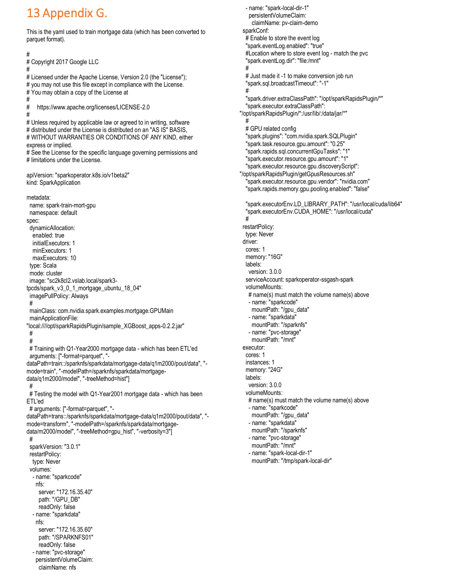## 13 Appendix G.

This is the yaml used to train mortgage data (which has been converted to parquet format).

# # Copyright 2017 Google LLC # # Licensed under the Apache License, Version 2.0 (the "License"); # you may not use this file except in compliance with the License. # You may obtain a copy of the License at # # <https://www.apache.org/licenses/LICENSE-2.0> # # Unless required by applicable law or agreed to in writing, software # distributed under the License is distributed on an "AS IS" BASIS, # WITHOUT WARRANTIES OR CONDITIONS OF ANY KIND, either express or implied. # See the License for the specific language governing permissions and # limitations under the License. apiVersion: "sparkoperator.k8s.io/v1beta2" kind: SparkApplication metadata: name: spark-train-mort-gpu namespace: default spec: dynamicAllocation: enabled: true initialExecutors: 1 minExecutors: 1 maxExecutors: 10 type: Scala mode: cluster image: "sc2k8cl2.vslab.local/spark3 tpcds/spark\_v3\_0\_1\_mortgage\_ubuntu\_18\_04" imagePullPolicy: Always # mainClass: com.nvidia.spark.examples.mortgage.GPUMain mainApplicationFile: "local:////opt/sparkRapidsPlugin/sample\_XGBoost\_apps-0.2.2.jar" # # # Training with Q1-Year2000 mortgage data - which has been ETL'ed arguments: ["-format=parquet", " dataPath=train::/sparknfs/sparkdata/mortgage-data/q1m2000/pout/data", " mode=train", "-modelPath=/sparknfs/sparkdata/mortgagedata/q1m2000/model", "-treeMethod=hist"] # # Testing the model with Q1-Year2001 mortgage data - which has been ETL'ed # arguments: ["-format=parquet", " dataPath=trans::/sparknfs/sparkdata/mortgage-data/q1m2000/pout/data", " mode=transform", "-modelPath=/sparknfs/sparkdata/mortgagedata/m2000/model", "-treeMethod=gpu\_hist", "-verbosity=3"] # sparkVersion: "3.0.1" restartPolicy: type: Never volumes: - name: "sparkcode" nfs: server: "172.16.35.40" path: "/GPU\_DB" readOnly: false - name: "sparkdata" nfs: server: "172.16.35.60" path: "/SPARKNFS01" readOnly: false - name: "pvc-storage" persistentVolumeClaim:

claimName: nfs

 - name: "spark-local-dir-1" persistentVolumeClaim: claimName: pv-claim-demo sparkConf: # Enable to store the event log "spark.eventLog.enabled": "true" #Location where to store event log - match the pvc "spark.eventLog.dir": ["file:/mnt"](/mnt) # # Just made it -1 to make conversion job run "spark.sql.broadcastTimeout": "-1" # "spark.driver.extraClassPath": "/opt/sparkRapidsPlugin/\*" "spark.executor.extraClassPath": "/opt/sparkRapidsPlugin/\*:/usr/lib/:/data/jar/\*" # # GPU related config "spark.plugins": "com.nvidia.spark.SQLPlugin" "spark.task.resource.gpu.amount": "0.25" "spark.rapids.sql.concurrentGpuTasks": "1" "spark.executor.resource.gpu.amount": "1" "spark.executor.resource.gpu.discoveryScript": "/opt/sparkRapidsPlugin/getGpusResources.sh" "spark.executor.resource.gpu.vendor": "nvidia.com" "spark.rapids.memory.gpu.pooling.enabled": "false" "spark.executorEnv.LD\_LIBRARY\_PATH": "/usr/local/cuda/lib64" "spark.executorEnv.CUDA\_HOME": "/usr/local/cuda" # restartPolicy: type: Never driver: cores: 1 memory: "16G" labels: version: 3.0.0 serviceAccount: sparkoperator-ssgash-spark volumeMounts: # name(s) must match the volume name(s) above - name: "sparkcode" mountPath: "/gpu\_data" - name: "sparkdata" mountPath: "/sparknfs" - name: "pvc-storage" mountPath: "/mnt" executor: cores: 1 instances: 1 memory: "24G" labels: version: 3.0.0 volumeMounts: # name(s) must match the volume name(s) above - name: "sparkcode" mountPath: "/gpu\_data" - name: "sparkdata" mountPath: "/sparknfs" - name: "pvc-storage" mountPath: "/mnt" - name: "spark-local-dir-1" mountPath: "/tmp/spark-local-dir"